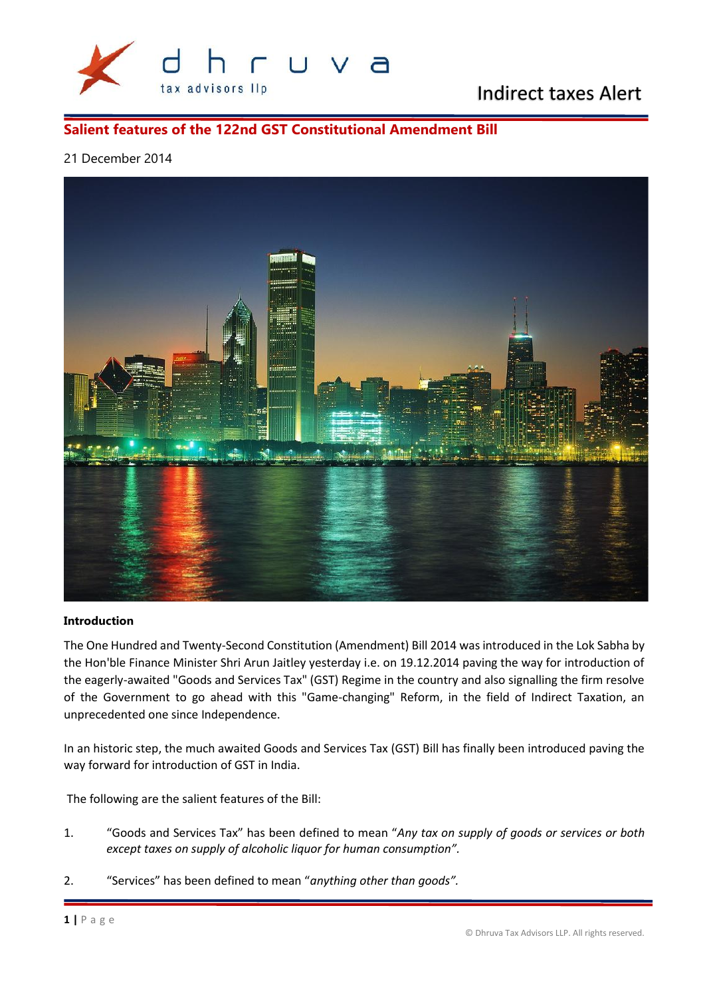

# Indirect taxes Alert

#### **Salient features of the 122nd GST Constitutional Amendment Bill**

#### 21 December 2014



#### **Introduction**

The One Hundred and Twenty-Second Constitution (Amendment) Bill 2014 was introduced in the Lok Sabha by the Hon'ble Finance Minister Shri Arun Jaitley yesterday i.e. on 19.12.2014 paving the way for introduction of the eagerly-awaited "Goods and Services Tax" (GST) Regime in the country and also signalling the firm resolve of the Government to go ahead with this "Game-changing" Reform, in the field of Indirect Taxation, an unprecedented one since Independence.

In an historic step, the much awaited Goods and Services Tax (GST) Bill has finally been introduced paving the way forward for introduction of GST in India.

The following are the salient features of the Bill:

- 1. "Goods and Services Tax" has been defined to mean "*Any tax on supply of goods or services or both except taxes on supply of alcoholic liquor for human consumption".*
- **2.** "Services" has been<br> **1** | P a g e 2. "Services" has been defined to mean "*anything other than goods".*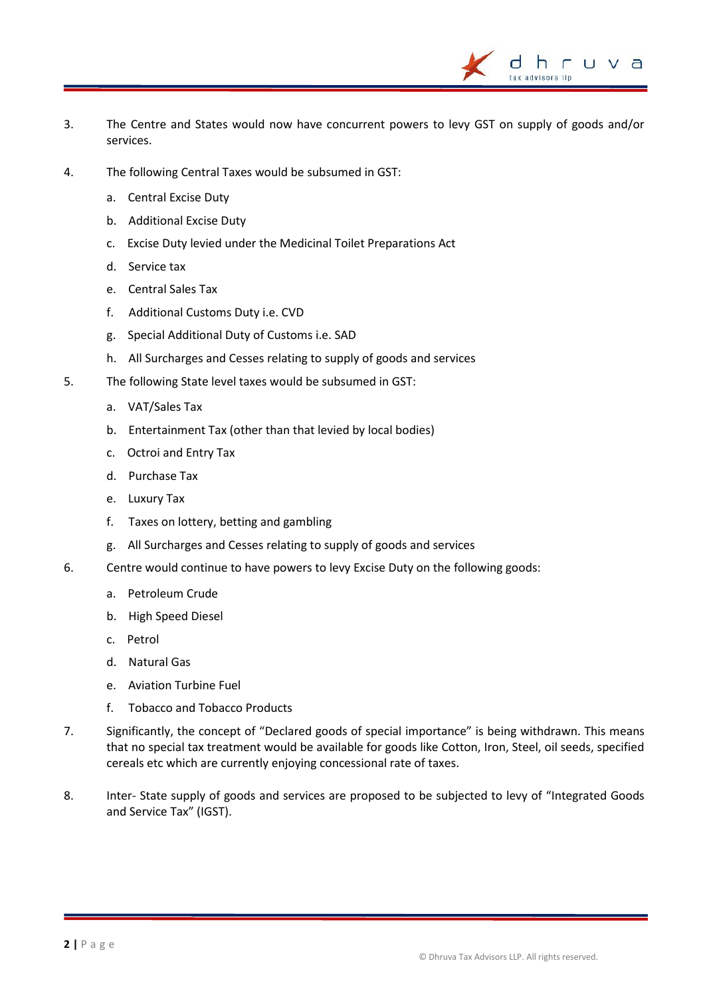3. The Centre and States would now have concurrent powers to levy GST on supply of goods and/or services.

h. tax advisors lin

- 4. The following Central Taxes would be subsumed in GST:
	- a. Central Excise Duty
	- b. Additional Excise Duty
	- c. Excise Duty levied under the Medicinal Toilet Preparations Act
	- d. Service tax
	- e. Central Sales Tax
	- f. Additional Customs Duty i.e. CVD
	- g. Special Additional Duty of Customs i.e. SAD
	- h. All Surcharges and Cesses relating to supply of goods and services
- 5. The following State level taxes would be subsumed in GST:
	- a. VAT/Sales Tax
	- b. Entertainment Tax (other than that levied by local bodies)
	- c. Octroi and Entry Tax
	- d. Purchase Tax
	- e. Luxury Tax
	- f. Taxes on lottery, betting and gambling
	- g. All Surcharges and Cesses relating to supply of goods and services
- 6. Centre would continue to have powers to levy Excise Duty on the following goods:
	- a. Petroleum Crude
	- b. High Speed Diesel
	- c. Petrol
	- d. Natural Gas
	- e. Aviation Turbine Fuel
	- f. Tobacco and Tobacco Products
- 7. Significantly, the concept of "Declared goods of special importance" is being withdrawn. This means that no special tax treatment would be available for goods like Cotton, Iron, Steel, oil seeds, specified cereals etc which are currently enjoying concessional rate of taxes.
- 8. Inter- State supply of goods and services are proposed to be subjected to levy of "Integrated Goods and Service Tax" (IGST).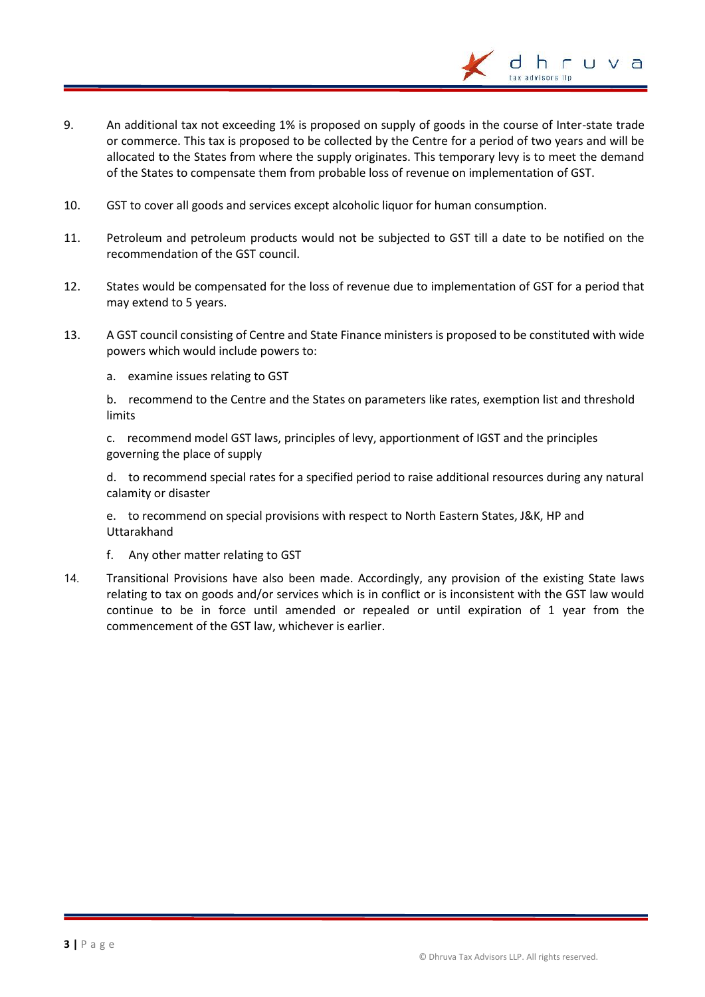9. An additional tax not exceeding 1% is proposed on supply of goods in the course of Inter-state trade or commerce. This tax is proposed to be collected by the Centre for a period of two years and will be allocated to the States from where the supply originates. This temporary levy is to meet the demand of the States to compensate them from probable loss of revenue on implementation of GST.

tax advisors lin

- 10. GST to cover all goods and services except alcoholic liquor for human consumption.
- 11. Petroleum and petroleum products would not be subjected to GST till a date to be notified on the recommendation of the GST council.
- 12. States would be compensated for the loss of revenue due to implementation of GST for a period that may extend to 5 years.
- 13. A GST council consisting of Centre and State Finance ministers is proposed to be constituted with wide powers which would include powers to:
	- a. examine issues relating to GST

b. recommend to the Centre and the States on parameters like rates, exemption list and threshold limits

c. recommend model GST laws, principles of levy, apportionment of IGST and the principles governing the place of supply

d. to recommend special rates for a specified period to raise additional resources during any natural calamity or disaster

e. to recommend on special provisions with respect to North Eastern States, J&K, HP and Uttarakhand

- f. Any other matter relating to GST
- 14. Transitional Provisions have also been made. Accordingly, any provision of the existing State laws relating to tax on goods and/or services which is in conflict or is inconsistent with the GST law would continue to be in force until amended or repealed or until expiration of 1 year from the commencement of the GST law, whichever is earlier.